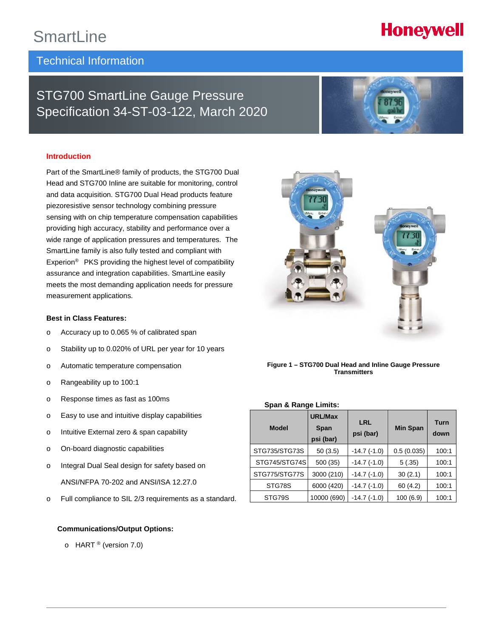# **SmartLine**

# Technical Information

# STG700 SmartLine Gauge Pressure Specification 34-ST-03-122, March 2020

# **Introduction**

Part of the SmartLine® family of products, the STG700 Dual Head and STG700 Inline are suitable for monitoring, control and data acquisition. STG700 Dual Head products feature piezoresistive sensor technology combining pressure sensing with on chip temperature compensation capabilities providing high accuracy, stability and performance over a wide range of application pressures and temperatures. The SmartLine family is also fully tested and compliant with Experion® PKS providing the highest level of compatibility assurance and integration capabilities. SmartLine easily meets the most demanding application needs for pressure measurement applications.

### **Best in Class Features:**

- o Accuracy up to 0.065 % of calibrated span
- o Stability up to 0.020% of URL per year for 10 years
- o Automatic temperature compensation
- o Rangeability up to 100:1
- o Response times as fast as 100ms
- o Easy to use and intuitive display capabilities
- o Intuitive External zero & span capability
- o On-board diagnostic capabilities
- o Integral Dual Seal design for safety based on ANSI/NFPA 70-202 and ANSI/ISA 12.27.0
- o Full compliance to SIL 2/3 requirements as a standard.

# **Communications/Output Options:**

 $\circ$  HART ® (version 7.0)



#### **Span & Range Limits:**

| <b>Model</b>  | <b>URL/Max</b><br><b>Span</b><br>psi (bar) | LRL<br>psi (bar) | <b>Min Span</b> | <b>Turn</b><br>down |
|---------------|--------------------------------------------|------------------|-----------------|---------------------|
| STG735/STG73S | 50(3.5)                                    | $-14.7(-1.0)$    | 0.5(0.035)      | 100:1               |
| STG745/STG74S | 500 (35)                                   | $-14.7(-1.0)$    | 5(.35)          | 100:1               |
| STG775/STG77S | 3000 (210)                                 | $-14.7(-1.0)$    | 30(2.1)         | 100:1               |
| STG78S        | 6000 (420)                                 | $-14.7(-1.0)$    | 60(4.2)         | 100:1               |
| STG79S        | 10000 (690)                                | $-14.7(-1.0)$    | 100(6.9)        | 100:1               |





# **Honeywell**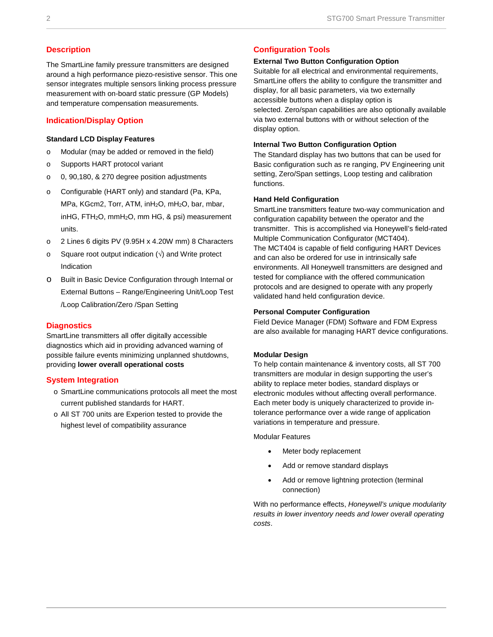# **Description**

The SmartLine family pressure transmitters are designed around a high performance piezo-resistive sensor. This one sensor integrates multiple sensors linking process pressure measurement with on-board static pressure (GP Models) and temperature compensation measurements.

# **Indication/Display Option**

#### **Standard LCD Display Features**

- o Modular (may be added or removed in the field)
- o Supports HART protocol variant
- o 0, 90,180, & 270 degree position adjustments
- o Configurable (HART only) and standard (Pa, KPa, MPa, KGcm2, Torr, ATM, inH<sub>2</sub>O, mH<sub>2</sub>O, bar, mbar, inHG, FTH2O, mmH2O, mm HG, & psi) measurement units.
- o 2 Lines 6 digits PV (9.95H x 4.20W mm) 8 Characters
- $\circ$  Square root output indication ( $\sqrt{ }$ ) and Write protect Indication
- o Built in Basic Device Configuration through Internal or External Buttons – Range/Engineering Unit/Loop Test /Loop Calibration/Zero /Span Setting

# **Diagnostics**

SmartLine transmitters all offer digitally accessible diagnostics which aid in providing advanced warning of possible failure events minimizing unplanned shutdowns, providing **lower overall operational costs**

# **System Integration**

- o SmartLine communications protocols all meet the most current published standards for HART.
- o All ST 700 units are Experion tested to provide the highest level of compatibility assurance

# **Configuration Tools**

### **External Two Button Configuration Option**

Suitable for all electrical and environmental requirements, SmartLine offers the ability to configure the transmitter and display, for all basic parameters, via two externally accessible buttons when a display option is selected. Zero/span capabilities are also optionally available via two external buttons with or without selection of the display option.

# **Internal Two Button Configuration Option**

The Standard display has two buttons that can be used for Basic configuration such as re ranging, PV Engineering unit setting, Zero/Span settings, Loop testing and calibration functions.

#### **Hand Held Configuration**

SmartLine transmitters feature two-way communication and configuration capability between the operator and the transmitter. This is accomplished via Honeywell's field-rated Multiple Communication Configurator (MCT404). The MCT404 is capable of field configuring HART Devices and can also be ordered for use in intrinsically safe environments. All Honeywell transmitters are designed and tested for compliance with the offered communication protocols and are designed to operate with any properly validated hand held configuration device.

### **Personal Computer Configuration**

Field Device Manager (FDM) Software and FDM Express are also available for managing HART device configurations.

### **Modular Design**

To help contain maintenance & inventory costs, all ST 700 transmitters are modular in design supporting the user's ability to replace meter bodies, standard displays or electronic modules without affecting overall performance. Each meter body is uniquely characterized to provide intolerance performance over a wide range of application variations in temperature and pressure.

Modular Features

- Meter body replacement
- Add or remove standard displays
- Add or remove lightning protection (terminal connection)

With no performance effects, *Honeywell's unique modularity results in lower inventory needs and lower overall operating costs*.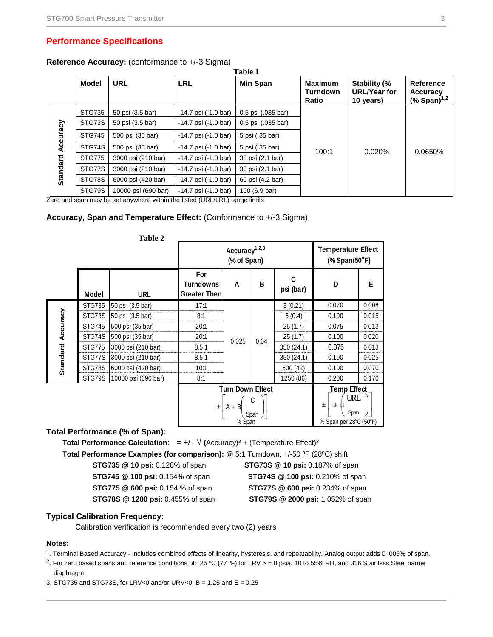# **Performance Specifications**

#### **Reference Accuracy:** (conformance to +/-3 Sigma) **Table 1**

|                 |               |                     |                                  | таріс т            |                                            |                                                  |                                                    |
|-----------------|---------------|---------------------|----------------------------------|--------------------|--------------------------------------------|--------------------------------------------------|----------------------------------------------------|
|                 | <b>Model</b>  | <b>URL</b>          | <b>LRL</b>                       | Min Span           | <b>Maximum</b><br><b>Turndown</b><br>Ratio | Stability (%<br><b>URL/Year for</b><br>10 years) | Reference<br>Accuracy<br>$(*$ Span) <sup>1,2</sup> |
|                 | <b>STG735</b> | 50 psi (3.5 bar)    | $-14.7$ psi $(-1.0 \text{ bar})$ | 0.5 psi (.035 bar) |                                            |                                                  |                                                    |
|                 | STG73S        | 50 psi (3.5 bar)    | $-14.7$ psi $(-1.0 \text{ bar})$ | 0.5 psi (.035 bar) |                                            |                                                  |                                                    |
| Accuracy        | <b>STG745</b> | 500 psi (35 bar)    | $-14.7$ psi $(-1.0 \text{ bar})$ | 5 psi (.35 bar)    |                                            |                                                  |                                                    |
|                 | STG74S        | 500 psi (35 bar)    | $-14.7$ psi $(-1.0 \text{ bar})$ | 5 psi (.35 bar)    | 100:1                                      | 0.020%                                           | 0.0650%                                            |
|                 | <b>STG775</b> | 3000 psi (210 bar)  | $-14.7$ psi $(-1.0 \text{ bar})$ | 30 psi (2.1 bar)   |                                            |                                                  |                                                    |
| <b>Standard</b> | STG77S        | 3000 psi (210 bar)  | $-14.7$ psi $(-1.0 \text{ bar})$ | 30 psi (2.1 bar)   |                                            |                                                  |                                                    |
|                 | STG78S        | 6000 psi (420 bar)  | $-14.7$ psi $(-1.0 \text{ bar})$ | 60 psi (4.2 bar)   |                                            |                                                  |                                                    |
|                 | STG79S        | 10000 psi (690 bar) | $-14.7$ psi $(-1.0 \text{ bar})$ | 100 (6.9 bar)      |                                            |                                                  |                                                    |

Zero and span may be set anywhere within the listed (URL/LRL) range limits

# **Accuracy, Span and Temperature Effect:** (Conformance to +/-3 Sigma)

|                          |               | Table 2             |                                                |                                              |      |                |                                                                           |        |       |       |
|--------------------------|---------------|---------------------|------------------------------------------------|----------------------------------------------|------|----------------|---------------------------------------------------------------------------|--------|-------|-------|
|                          |               |                     |                                                | Accuracy $1,2,3$<br>(% of Span)              |      |                | <b>Temperature Effect</b><br>$%$ Span/50 $^{\circ}$ F)                    |        |       |       |
|                          | Model         | <b>URL</b>          | For<br><b>Turndowns</b><br><b>Greater Then</b> | A                                            | B    | C<br>psi (bar) | D                                                                         | E.     |       |       |
|                          | <b>STG735</b> | 50 psi (3.5 bar)    | 17:1                                           |                                              |      | 3(0.21)        | 0.070                                                                     | 0.008  |       |       |
|                          | STG73S        | 50 psi (3.5 bar)    | 8:1                                            |                                              |      |                |                                                                           | 6(0.4) | 0.100 | 0.015 |
|                          | <b>STG745</b> | 500 psi (35 bar)    | 20:1                                           |                                              |      |                | 25(1.7)                                                                   | 0.075  | 0.013 |       |
| <b>Standard Accuracy</b> | STG74S        | 500 psi (35 bar)    | 20:1                                           | 0.025                                        | 0.04 | 25(1.7)        | 0.100                                                                     | 0.020  |       |       |
|                          | <b>STG775</b> | 3000 psi (210 bar)  | 8.5:1                                          |                                              |      | 350 (24.1)     | 0.075                                                                     | 0.013  |       |       |
|                          | STG77S        | 3000 psi (210 bar)  | 8.5:1                                          |                                              |      | 350 (24.1)     | 0.100                                                                     | 0.025  |       |       |
|                          | STG78S        | 6000 psi (420 bar)  | 10:1                                           |                                              |      | 600 (42)       | 0.100                                                                     | 0.070  |       |       |
|                          | STG79S        | 10000 psi (690 bar) | 8:1                                            |                                              |      | 1250 (86)      | 0.200                                                                     | 0.170  |       |       |
|                          |               |                     | $+$                                            | <b>Turn Down Effect</b><br>$A + B$<br>% Span | Span |                | <b>Temp Effect</b><br>URL<br>$\pm$<br>₽<br>Span<br>% Span per 28°C (50°F) |        |       |       |

# **Total Performance (% of Span):**

 **Total Performance Calculation:**  $= +/- \sqrt{($ Accuracy $)^2 + ($ Temperature Effect $)^2$ 

**Total Performance Examples (for comparison):** @ 5:1 Turndown, +/-50 °F (28°C) shift

**STG745 @ 100 psi:** 0.154% of span **STG74S @ 100 psi:** 0.210% of span

**STG78S @ 1200 psi:** 0.455% of span **STG79S @ 2000 psi:** 1.052% of span

 **STG735 @ 10 psi:** 0.128% of span **STG73S @ 10 psi:** 0.187% of span **STG775 @ 600 psi:** 0.154 % of span **STG77S @ 600 psi:** 0.234% of span

# **Typical Calibration Frequency:**

Calibration verification is recommended every two (2) years

#### **Notes:**

- <sup>1</sup>. Terminal Based Accuracy Includes combined effects of linearity, hysteresis, and repeatability. Analog output adds 0.006% of span.
- <sup>2</sup>. For zero based spans and reference conditions of: 25 °C (77 °F) for LRV > = 0 psia, 10 to 55% RH, and 316 Stainless Steel barrier diaphragm.
- 3. STG735 and STG73S, for LRV<0 and/or URV<0, B = 1.25 and E = 0.25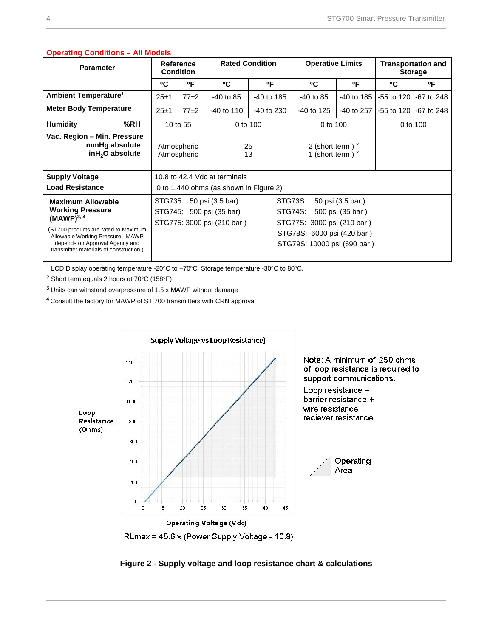|                                                                                                                                                                                                                                        | $\sigma$                                                                                                                                                                                            |                                      |                        |              |                                           |            |                                             |                       |
|----------------------------------------------------------------------------------------------------------------------------------------------------------------------------------------------------------------------------------------|-----------------------------------------------------------------------------------------------------------------------------------------------------------------------------------------------------|--------------------------------------|------------------------|--------------|-------------------------------------------|------------|---------------------------------------------|-----------------------|
| <b>Parameter</b>                                                                                                                                                                                                                       |                                                                                                                                                                                                     | <b>Reference</b><br><b>Condition</b> | <b>Rated Condition</b> |              | <b>Operative Limits</b>                   |            | <b>Transportation and</b><br><b>Storage</b> |                       |
|                                                                                                                                                                                                                                        | °C                                                                                                                                                                                                  | °F                                   | °C                     | ۰F           | °C                                        | °F         | °C                                          | °F                    |
| Ambient Temperature <sup>1</sup>                                                                                                                                                                                                       | 25±1                                                                                                                                                                                                | $77\pm2$                             | $-40$ to 85            | $-40$ to 185 | $-40$ to 85                               | -40 to 185 | $-55$ to 120                                | $-67$ to 248          |
| <b>Meter Body Temperature</b>                                                                                                                                                                                                          | $25 + 1$                                                                                                                                                                                            | $77\pm2$                             | $-40$ to 110           | $-40$ to 230 | $-40$ to 125                              | -40 to 257 |                                             | -55 to 120 -67 to 248 |
| %RH<br><b>Humidity</b>                                                                                                                                                                                                                 |                                                                                                                                                                                                     | 10 to 55                             | 0 to 100               |              | 0 to 100                                  |            | 0 to 100                                    |                       |
| Vac. Region - Min. Pressure<br>mmHg absolute<br>inH <sub>2</sub> O absolute                                                                                                                                                            |                                                                                                                                                                                                     | Atmospheric<br>Atmospheric           | 25<br>13               |              | 2 (short term) $^2$<br>1 (short term) $2$ |            |                                             |                       |
| <b>Supply Voltage</b><br><b>Load Resistance</b>                                                                                                                                                                                        | 10.8 to 42.4 Vdc at terminals<br>0 to 1,440 ohms (as shown in Figure 2)                                                                                                                             |                                      |                        |              |                                           |            |                                             |                       |
| <b>Maximum Allowable</b><br><b>Working Pressure</b><br>(MAWP) <sup>3, 4</sup><br>(ST700 products are rated to Maximum<br>Allowable Working Pressure. MAWP<br>depends on Approval Agency and<br>transmitter materials of construction.) | STG735: 50 psi (3.5 bar)<br>STG73S:<br>STG745: 500 psi (35 bar)<br>STG74S:<br>STG775: 3000 psi (210 bar)<br>STG77S: 3000 psi (210 bar)<br>STG78S: 6000 psi (420 bar)<br>STG79S: 10000 psi (690 bar) |                                      |                        |              | 50 psi (3.5 bar)<br>500 psi (35 bar)      |            |                                             |                       |

# **Operating Conditions – All Models**

 $1$  LCD Display operating temperature -20 $^{\circ}$ C to +70 $^{\circ}$ C Storage temperature -30 $^{\circ}$ C to 80 $^{\circ}$ C.

 $2$  Short term equals 2 hours at 70 $^{\circ}$ C (158 $^{\circ}$ F)

<sup>3</sup> Units can withstand overpressure of 1.5 x MAWP without damage

<sup>4</sup> Consult the factory for MAWP of ST 700 transmitters with CRN approval



<span id="page-3-0"></span>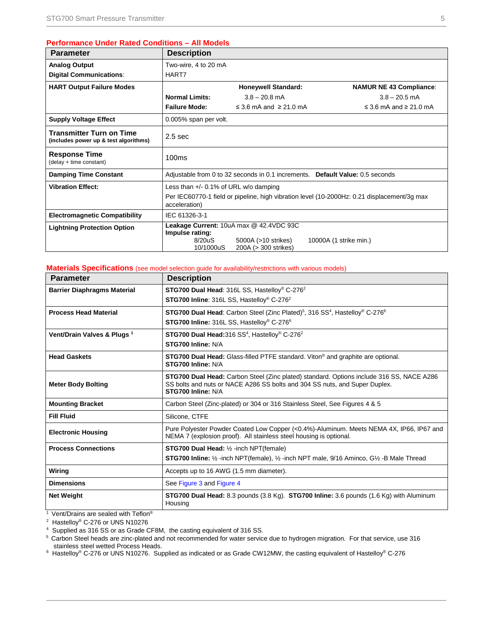# **Performance Under Rated Conditions – All Models**

| <b>Parameter</b>                                                         | <b>Description</b>                                       |                                                                                        |                                                                                             |
|--------------------------------------------------------------------------|----------------------------------------------------------|----------------------------------------------------------------------------------------|---------------------------------------------------------------------------------------------|
| <b>Analog Output</b>                                                     | Two-wire, 4 to 20 mA                                     |                                                                                        |                                                                                             |
| <b>Digital Communications:</b>                                           | HART7                                                    |                                                                                        |                                                                                             |
| <b>HART Output Failure Modes</b>                                         |                                                          | <b>Honeywell Standard:</b>                                                             | <b>NAMUR NE 43 Compliance:</b>                                                              |
|                                                                          | <b>Normal Limits:</b>                                    | $3.8 - 20.8$ mA                                                                        | $3.8 - 20.5$ mA                                                                             |
|                                                                          | <b>Failure Mode:</b>                                     | ≤ 3.6 mA and $≥$ 21.0 mA                                                               | $\leq$ 3.6 mA and $\geq$ 21.0 mA                                                            |
| <b>Supply Voltage Effect</b>                                             | 0.005% span per volt.                                    |                                                                                        |                                                                                             |
| <b>Transmitter Turn on Time</b><br>(includes power up & test algorithms) | 2.5 <sub>sec</sub>                                       |                                                                                        |                                                                                             |
| <b>Response Time</b><br>(delay + time constant)                          | 100ms                                                    |                                                                                        |                                                                                             |
| <b>Damping Time Constant</b>                                             |                                                          |                                                                                        | Adjustable from 0 to 32 seconds in 0.1 increments. Default Value: 0.5 seconds               |
| <b>Vibration Effect:</b>                                                 | Less than $+/-$ 0.1% of URL w/o damping<br>acceleration) |                                                                                        | Per IEC60770-1 field or pipeline, high vibration level (10-2000Hz: 0.21 displacement/3g max |
| <b>Electromagnetic Compatibility</b>                                     | IEC 61326-3-1                                            |                                                                                        |                                                                                             |
| <b>Lightning Protection Option</b>                                       | Impulse rating:<br>8/20uS<br>10/1000uS                   | Leakage Current: 10uA max @ 42.4VDC 93C<br>5000A (>10 strikes)<br>200A (> 300 strikes) | 10000A (1 strike min.)                                                                      |

# **Materials Specifications** (see model selection guide for availability/restrictions with various models)

| <b>Parameter</b>                       | <b>Description</b>                                                                                                                                                                           |
|----------------------------------------|----------------------------------------------------------------------------------------------------------------------------------------------------------------------------------------------|
| <b>Barrier Diaphragms Material</b>     | <b>STG700 Dual Head: 316L SS, Hastelloy® C-276<sup>2</sup></b>                                                                                                                               |
|                                        | <b>STG700 Inline: 316L SS. Hastellov® C-276<sup>2</sup></b>                                                                                                                                  |
| <b>Process Head Material</b>           | <b>STG700 Dual Head:</b> Carbon Steel (Zinc Plated) <sup>5</sup> , 316 SS <sup>4</sup> , Hastelloy <sup>®</sup> C-276 <sup>6</sup>                                                           |
|                                        | STG700 Inline: 316L SS, Hastelloy® C-276 <sup>6</sup>                                                                                                                                        |
| Vent/Drain Valves & Plugs <sup>1</sup> | STG700 Dual Head: 316 SS <sup>4</sup> , Hastelloy® C-276 <sup>2</sup>                                                                                                                        |
|                                        | STG700 Inline: N/A                                                                                                                                                                           |
| <b>Head Gaskets</b>                    | <b>STG700 Dual Head:</b> Glass-filled PTFE standard. Viton <sup>®</sup> and graphite are optional.<br>STG700 Inline: N/A                                                                     |
| <b>Meter Body Bolting</b>              | STG700 Dual Head: Carbon Steel (Zinc plated) standard. Options include 316 SS, NACE A286<br>SS bolts and nuts or NACE A286 SS bolts and 304 SS nuts, and Super Duplex.<br>STG700 Inline: N/A |
| <b>Mounting Bracket</b>                | Carbon Steel (Zinc-plated) or 304 or 316 Stainless Steel, See Figures 4 & 5                                                                                                                  |
| <b>Fill Fluid</b>                      | Silicone, CTFE                                                                                                                                                                               |
| <b>Electronic Housing</b>              | Pure Polyester Powder Coated Low Copper (<0.4%)-Aluminum. Meets NEMA 4X, IP66, IP67 and<br>NEMA 7 (explosion proof). All stainless steel housing is optional.                                |
| <b>Process Connections</b>             | <b>STG700 Dual Head:</b> 1/2 -inch NPT(female)                                                                                                                                               |
|                                        | <b>STG700 Inline:</b> 1/ <sub>2</sub> -inch NPT(female), 1/ <sub>2</sub> -inch NPT male, 9/16 Aminco, G1/ <sub>2</sub> -B Male Thread                                                        |
| Wiring                                 | Accepts up to 16 AWG (1.5 mm diameter).                                                                                                                                                      |
| <b>Dimensions</b>                      | See Figure 3 and Figure 4                                                                                                                                                                    |
| <b>Net Weight</b>                      | STG700 Dual Head: 8.3 pounds (3.8 Kg). STG700 Inline: 3.6 pounds (1.6 Kg) with Aluminum<br>Housing                                                                                           |

<sup>1</sup> Vent/Drains are sealed with Teflon<sup>®</sup>

2 Hastelloy® C-276 or UNS N10276

<sup>4</sup> Supplied as 316 SS or as Grade CF8M, the casting equivalent of 316 SS.

<sup>5</sup> Carbon Steel heads are zinc-plated and not recommended for water service due to hydrogen migration. For that service, use 316 stainless steel wetted Process Heads.

6 Hastelloy® C-276 or UNS N10276. Supplied as indicated or as Grade CW12MW, the casting equivalent of Hastelloy® C-276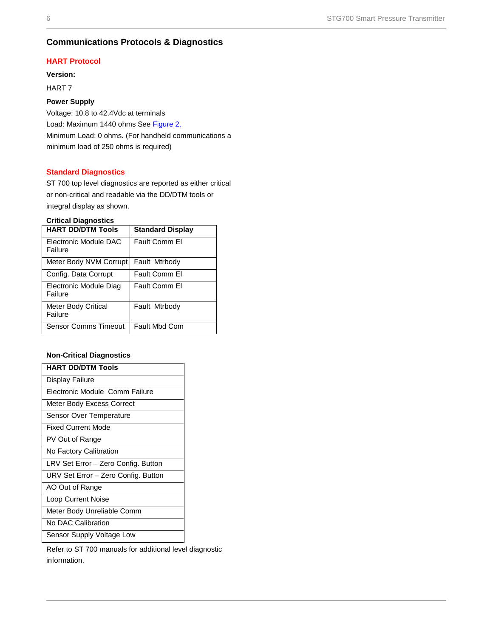# **Communications Protocols & Diagnostics**

# **HART Protocol**

**Version:**

HART 7

# **Power Supply**

Voltage: 10.8 to 42.4Vdc at terminals Load: Maximum 1440 ohms Se[e Figure 2.](#page-3-0) Minimum Load: 0 ohms. (For handheld communications a minimum load of 250 ohms is required)

# **Standard Diagnostics**

ST 700 top level diagnostics are reported as either critical or non-critical and readable via the DD/DTM tools or integral display as shown.

# **Critical Diagnostics**

| <b>HART DD/DTM Tools</b>              | <b>Standard Display</b> |
|---------------------------------------|-------------------------|
| Electronic Module DAC<br>Failure      | Fault Comm El           |
| Meter Body NVM Corrupt                | Fault Mtrbody           |
| Config. Data Corrupt                  | Fault Comm El           |
| Electronic Module Diag<br>Failure     | Fault Comm El           |
| <b>Meter Body Critical</b><br>Failure | Fault Mtrbody           |
| <b>Sensor Comms Timeout</b>           | Fault Mbd Com           |

# **Non-Critical Diagnostics**

| <b>HART DD/DTM Tools</b>            |
|-------------------------------------|
| Display Failure                     |
| Electronic Module Comm Failure      |
| Meter Body Excess Correct           |
| Sensor Over Temperature             |
| <b>Fixed Current Mode</b>           |
| PV Out of Range                     |
| No Factory Calibration              |
| LRV Set Error - Zero Config. Button |
| URV Set Error - Zero Config. Button |
| AO Out of Range                     |
| <b>Loop Current Noise</b>           |
| Meter Body Unreliable Comm          |
| No DAC Calibration                  |
| Sensor Supply Voltage Low           |

Refer to ST 700 manuals for additional level diagnostic information.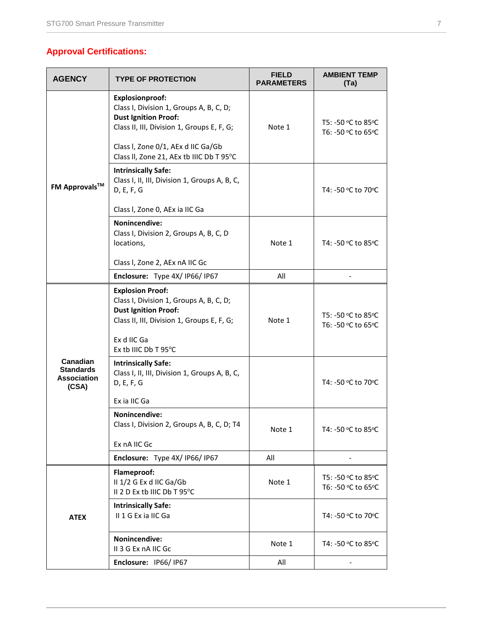# **Approval Certifications:**

| <b>AGENCY</b>                                                      | <b>TYPE OF PROTECTION</b>                                                                                                                                                                                                        | <b>FIELD</b><br><b>PARAMETERS</b> | <b>AMBIENT TEMP</b><br>(Ta)              |
|--------------------------------------------------------------------|----------------------------------------------------------------------------------------------------------------------------------------------------------------------------------------------------------------------------------|-----------------------------------|------------------------------------------|
|                                                                    | <b>Explosionproof:</b><br>Class I, Division 1, Groups A, B, C, D;<br><b>Dust Ignition Proof:</b><br>Class II, III, Division 1, Groups E, F, G;<br>Class I, Zone 0/1, AEx d IIC Ga/Gb<br>Class II, Zone 21, AEx tb IIIC Db T 95°C | Note 1                            | T5: -50 °C to 85°C<br>T6: -50 °C to 65°C |
| <b>FM Approvals™</b>                                               | <b>Intrinsically Safe:</b><br>Class I, II, III, Division 1, Groups A, B, C,<br>D, E, F, G                                                                                                                                        |                                   | T4: -50 °C to 70°C                       |
|                                                                    | Class I, Zone 0, AEx ia IIC Ga                                                                                                                                                                                                   |                                   |                                          |
|                                                                    | <b>Nonincendive:</b><br>Class I, Division 2, Groups A, B, C, D<br>locations,                                                                                                                                                     | Note 1                            | T4: -50 °C to 85°C                       |
|                                                                    | Class I, Zone 2, AEx nA IIC Gc                                                                                                                                                                                                   |                                   |                                          |
|                                                                    | Enclosure: Type 4X/IP66/IP67                                                                                                                                                                                                     | All                               |                                          |
|                                                                    | <b>Explosion Proof:</b><br>Class I, Division 1, Groups A, B, C, D;<br><b>Dust Ignition Proof:</b><br>Class II, III, Division 1, Groups E, F, G;<br>Ex d IIC Ga<br>Ex tb IIIC Db T 95°C                                           | Note 1                            | T5: -50 °C to 85°C<br>T6: -50 °C to 65°C |
| <b>Canadian</b><br><b>Standards</b><br><b>Association</b><br>(CSA) | <b>Intrinsically Safe:</b><br>Class I, II, III, Division 1, Groups A, B, C,<br>D, E, F, G<br>Ex ia IIC Ga                                                                                                                        |                                   | T4: -50 °C to 70°C                       |
|                                                                    | Nonincendive:<br>Class I, Division 2, Groups A, B, C, D; T4<br>Ex nA IIC Gc                                                                                                                                                      | Note 1                            | T4: -50 ºC to 85ºC                       |
|                                                                    | Enclosure: Type 4X/IP66/IP67                                                                                                                                                                                                     | All                               |                                          |
|                                                                    | Flameproof:<br>II 1/2 G Ex d IIC Ga/Gb<br>II 2 D Ex tb IIIC Db T 95°C                                                                                                                                                            | Note 1                            | T5: -50 °C to 85°C<br>T6: -50 °C to 65°C |
| <b>ATEX</b>                                                        | <b>Intrinsically Safe:</b><br>II 1 G Ex ia IIC Ga                                                                                                                                                                                |                                   | T4: -50 °C to 70°C                       |
|                                                                    | Nonincendive:<br>II 3 G Ex nA IIC Gc                                                                                                                                                                                             | Note 1                            | T4: -50 °C to 85°C                       |
|                                                                    | Enclosure: IP66/IP67                                                                                                                                                                                                             | All                               |                                          |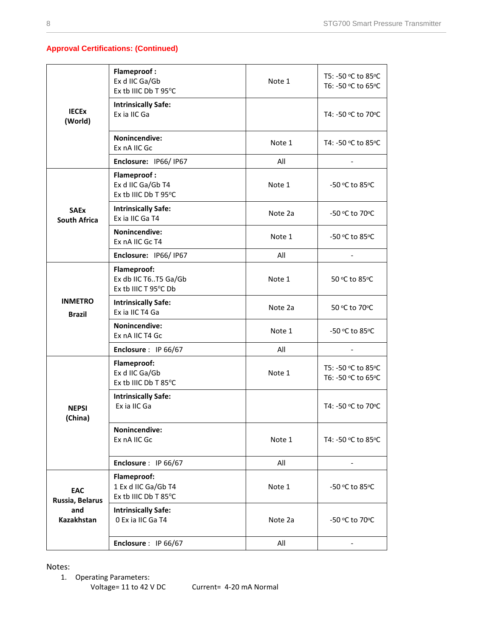# **Approval Certifications: (Continued)**

|                                    | <b>Flameproof:</b><br>Ex d IIC Ga/Gb<br>Ex tb IIIC Db T 95°C    | Note 1  | T5: -50 °C to 85°C<br>T6: -50 °C to 65°C |
|------------------------------------|-----------------------------------------------------------------|---------|------------------------------------------|
| <b>IECEX</b><br>(World)            | <b>Intrinsically Safe:</b><br>Ex ia IIC Ga                      |         | T4: -50 °C to 70°C                       |
|                                    | <b>Nonincendive:</b><br>Ex nA IIC Gc                            | Note 1  | T4: -50 ℃ to 85 °C                       |
|                                    | Enclosure: IP66/IP67                                            | All     |                                          |
|                                    | <b>Flameproof:</b><br>Ex d IIC Ga/Gb T4<br>Ex tb IIIC Db T 95°C | Note 1  | -50 °C to 85°C                           |
| <b>SAEx</b><br><b>South Africa</b> | <b>Intrinsically Safe:</b><br>Ex ia IIC Ga T4                   | Note 2a | -50 °C to 70°C                           |
|                                    | <b>Nonincendive:</b><br>Ex nA IIC Gc T4                         | Note 1  | -50 °C to 85°C                           |
|                                    | Enclosure: IP66/IP67                                            | All     |                                          |
|                                    | Flameproof:<br>Ex db IIC T6T5 Ga/Gb<br>Ex tb IIIC T 95°C Db     | Note 1  | 50 °C to 85°C                            |
| <b>INMETRO</b><br><b>Brazil</b>    | <b>Intrinsically Safe:</b><br>Ex ia IIC T4 Ga                   | Note 2a | 50 °C to 70°C                            |
|                                    | <b>Nonincendive:</b><br>Ex nA IIC T4 Gc                         | Note 1  | -50 °C to 85°C                           |
|                                    | Enclosure : IP 66/67                                            | All     |                                          |
|                                    | Flameproof:<br>Ex d IIC Ga/Gb<br>Ex tb IIIC Db T 85°C           | Note 1  | T5: -50 °C to 85°C<br>T6: -50 °C to 65°C |
| <b>NEPSI</b><br>(China)            | <b>Intrinsically Safe:</b><br>Ex ia IIC Ga                      |         | T4: -50 °C to 70°C                       |
|                                    | Nonincendive:<br>Ex nA IIC Gc                                   | Note 1  | T4: -50 °C to 85°C                       |
|                                    | Enclosure: IP 66/67                                             | All     |                                          |
| EAC<br>Russia, Belarus             | Flameproof:<br>1 Ex d IIC Ga/Gb T4<br>Ex tb IIIC Db T 85°C      | Note 1  | -50 °C to 85°C                           |
| and<br>Kazakhstan                  | <b>Intrinsically Safe:</b><br>0 Ex ia IIC Ga T4                 | Note 2a | -50 °C to 70°C                           |
|                                    | Enclosure: IP 66/67                                             | All     |                                          |

Notes:

1. Operating Parameters:

Voltage= 11 to 42 V DC Current= 4-20 mA Normal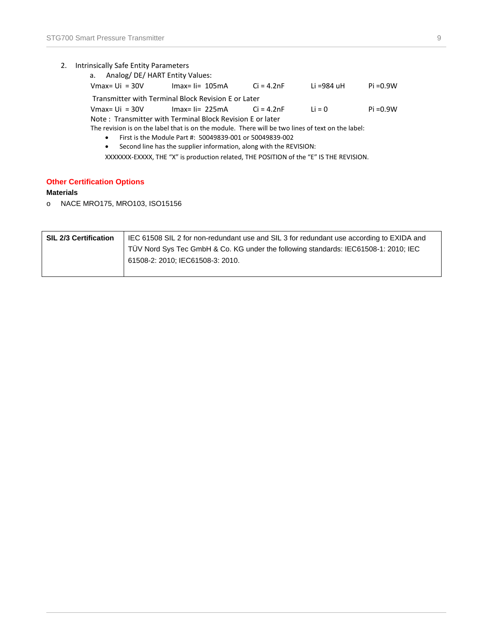# 2. Intrinsically Safe Entity Parameters

|           | a. Analog/DE/HART Entity Values:                          |                    |                                                                                                   |            |             |
|-----------|-----------------------------------------------------------|--------------------|---------------------------------------------------------------------------------------------------|------------|-------------|
|           | $V$ max= Ui = 30V                                         | $Imax = I = 105mA$ | Ci = 4.2nF                                                                                        | Li =984 uH | Pi =0.9W    |
|           | Transmitter with Terminal Block Revision E or Later       |                    |                                                                                                   |            |             |
|           | Vmax= Ui = $30V$ Imax= Ii= $225mA$ Ci = $4.2nF$           |                    |                                                                                                   | Li = $0$   | $Pi = 0.9W$ |
|           | Note: Transmitter with Terminal Block Revision E or later |                    |                                                                                                   |            |             |
|           |                                                           |                    | The revision is on the label that is on the module. There will be two lines of text on the label: |            |             |
| $\bullet$ | First is the Module Part #: 50049839-001 or 50049839-002  |                    |                                                                                                   |            |             |
| $\bullet$ |                                                           |                    | Second line has the supplier information, along with the REVISION:                                |            |             |

XXXXXXX-EXXXX, THE "X" is production related, THE POSITION of the "E" IS THE REVISION.

# **Other Certification Options**

# **Materials**

o NACE MRO175, MRO103, ISO15156

| <b>SIL 2/3 Certification</b> | IEC 61508 SIL 2 for non-redundant use and SIL 3 for redundant use according to EXIDA and |
|------------------------------|------------------------------------------------------------------------------------------|
|                              | TÜV Nord Sys Tec GmbH & Co. KG under the following standards: IEC61508-1: 2010; IEC      |
|                              | 61508-2: 2010; IEC61508-3: 2010.                                                         |
|                              |                                                                                          |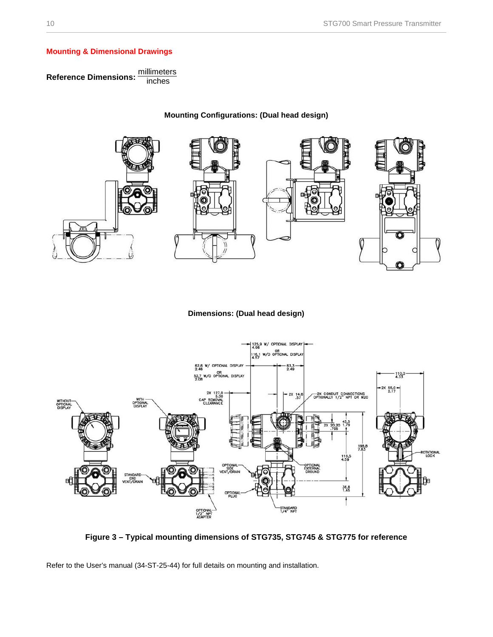# **Mounting & Dimensional Drawings**

R**eference Dimensions**: <sup>millimeters</sup>



**Dimensions: (Dual head design)**



**Figure 3 – Typical mounting dimensions of STG735, STG745 & STG775 for reference**

<span id="page-9-0"></span>Refer to the User's manual (34-ST-25-44) for full details on mounting and installation.

# **Mounting Configurations: (Dual head design)**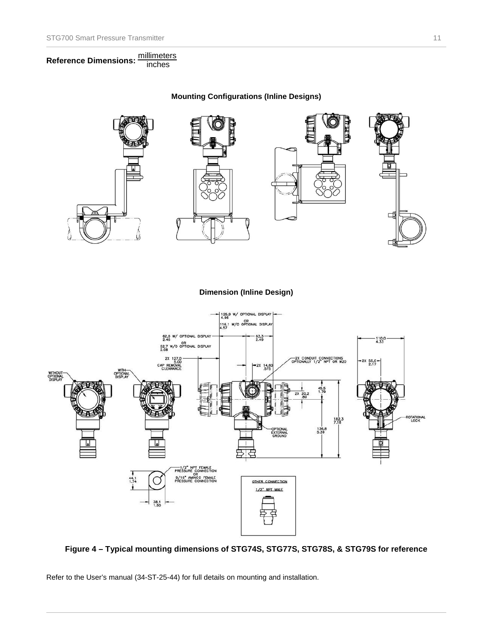R**eference Dimensions**: <u>millimeters</u>

**Mounting Configurations (Inline Designs)**



# **Dimension (Inline Design)**



# <span id="page-10-0"></span>**Figure 4 – Typical mounting dimensions of STG74S, STG77S, STG78S, & STG79S for reference**

Refer to the User's manual (34-ST-25-44) for full details on mounting and installation.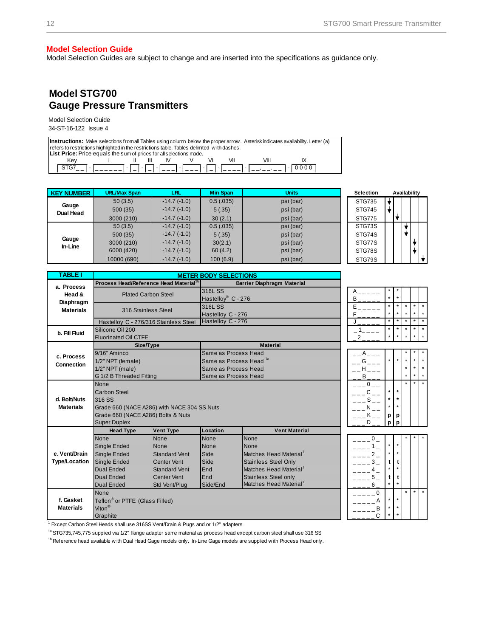#### **Model Selection Guide**

Model Selection Guides are subject to change and are inserted into the specifications as guidance only.

# **Model STG700 Gauge Pressure Transmitters**

Model Selection Guide 34-ST-16-122 Issue 4

**Instructions:** Make selections from all Tables using column below the proper arrow. Asterisk indicates availability. Letter (a) refers to restrictions highlighted in the restrictions table. Tables delimited w ith dashes. **List Price:** Price equals the sum of prices for all selections made. Key I II III IV V VI VII VIII IX STG7\_ \_ - \_ \_ \_ \_ \_ \_ - \_ - \_ - \_ \_ \_ - \_ \_ \_ - \_ - \_ \_ \_ \_ - \_ \_, \_ \_, \_ \_ - 0 0 0 0

| <b>KEY NUMBER</b> | <b>URL/Max Span</b> | LRL           | <b>Min Span</b> | <b>Units</b> | <b>Selection</b> | Availability |
|-------------------|---------------------|---------------|-----------------|--------------|------------------|--------------|
| Gauge             | 50(3.5)             | $-14.7(-1.0)$ | 0.5(0.035)      | psi (bar)    | STG735           |              |
| <b>Dual Head</b>  | 500(35)             | $-14.7(-1.0)$ | 5(.35)          | psi (bar)    | <b>STG745</b>    |              |
|                   | 3000 (210)          | $-14.7(-1.0)$ | 30(2.1)         | psi (bar)    | <b>STG775</b>    |              |
|                   | 50(3.5)             | $-14.7(-1.0)$ | 0.5(.035)       | psi (bar)    | STG73S           |              |
|                   | 500(35)             | $-14.7(-1.0)$ | 5(.35)          | psi (bar)    | STG74S           |              |
| Gauge<br>In-Line  | 3000 (210)          | $-14.7(-1.0)$ | 30(2.1)         | psi (bar)    | STG77S           |              |
|                   | 6000 (420)          | $-14.7(-1.0)$ | 60(4.2)         | psi (bar)    | STG78S           |              |
|                   | 10000 (690)         | $-14.7(-1.0)$ | 100(6.9)        | psi (bar)    | STG79S           |              |

| <b>TABLE I</b>       |                                       |                                                    | <b>METER BODY SELECTIONS</b>   |                                    |   |                |         |         |         |                     |  |
|----------------------|---------------------------------------|----------------------------------------------------|--------------------------------|------------------------------------|---|----------------|---------|---------|---------|---------------------|--|
| a. Process           |                                       | Process Head/Reference Head Material <sup>1b</sup> |                                | Barrier Diaphragm Material         |   |                |         |         |         |                     |  |
| Head &               |                                       | <b>Plated Carbon Steel</b>                         | 316L SS                        |                                    |   |                |         |         |         |                     |  |
| Diaphragm            |                                       |                                                    | Hastelloy <sup>®</sup> C - 276 |                                    | B |                | $\star$ |         |         |                     |  |
| <b>Materials</b>     | 316 Stainless Steel                   |                                                    | 316L SS                        |                                    | Ė |                | $\star$ |         |         | $\star$<br>$\star$  |  |
|                      |                                       |                                                    | Hastelloy C - 276              |                                    |   |                | $\star$ |         |         | $\star$<br>$\star$  |  |
|                      | Hastelloy C - 276/316 Stainless Steel |                                                    | Hastelloy C - 276              |                                    |   |                | $\star$ |         |         | $\star$<br>$\star$  |  |
| b. Fill Fluid        | Silicone Oil 200                      |                                                    |                                |                                    |   |                | $\star$ |         |         | $\star$<br>$\star$  |  |
|                      | <b>Fluorinated Oil CTFE</b>           |                                                    |                                |                                    |   |                | $\star$ |         |         |                     |  |
|                      | Size/Type                             |                                                    |                                | <b>Material</b>                    |   |                |         |         |         |                     |  |
| c. Process           | 9/16" Aminco                          |                                                    | Same as Process Head           |                                    |   |                |         |         |         |                     |  |
| <b>Connection</b>    | 1/2" NPT (female)                     |                                                    | Same as Process Head 1a        |                                    |   | G              | $\star$ |         |         |                     |  |
|                      | $1/2$ " NPT (male)                    |                                                    | Same as Process Head           |                                    |   | н              |         |         |         | $\star$             |  |
|                      | G 1/2 B Threaded Fitting              |                                                    | Same as Process Head           |                                    |   | B              |         |         | $\star$ | $\star$<br>$\star$  |  |
|                      | None                                  |                                                    |                                |                                    |   | $0_{--}$       |         |         |         | $\star$<br>$\star$  |  |
|                      | Carbon Steel                          |                                                    |                                |                                    |   |                | $\star$ | $\star$ |         |                     |  |
| d. Bolt/Nuts         | 316 SS                                |                                                    |                                |                                    |   |                | ٠       | $\star$ |         |                     |  |
| <b>Materials</b>     |                                       | Grade 660 (NACE A286) with NACE 304 SS Nuts        |                                |                                    |   |                | $\star$ | $\star$ |         |                     |  |
|                      | Grade 660 (NACE A286) Bolts & Nuts    |                                                    |                                |                                    |   |                | p       | p       |         |                     |  |
|                      | <b>Super Duplex</b>                   |                                                    |                                |                                    |   | D              | р       | n       |         |                     |  |
|                      | <b>Head Type</b>                      | <b>Vent Type</b>                                   | Location                       | <b>Vent Material</b>               |   |                |         |         |         |                     |  |
|                      | <b>None</b>                           | None                                               | <b>None</b>                    | None                               |   | $\Omega$       |         |         |         |                     |  |
|                      | <b>Single Ended</b>                   | None                                               | None                           | <b>None</b>                        |   |                | $\star$ |         |         |                     |  |
| e. Vent/Drain        | <b>Single Ended</b>                   | <b>Standard Vent</b>                               | Side                           | Matches Head Material <sup>1</sup> |   | $\overline{2}$ | $\star$ | $\star$ |         |                     |  |
| <b>Type/Location</b> | <b>Single Ended</b>                   | <b>Center Vent</b>                                 | Side                           | <b>Stainless Steel Only</b>        |   | 3              | t       | t       |         |                     |  |
|                      | <b>Dual Ended</b>                     | <b>Standard Vent</b>                               | End                            | Matches Head Material <sup>1</sup> |   |                | $\star$ |         |         |                     |  |
|                      | <b>Dual Ended</b>                     | <b>Center Vent</b>                                 | End                            | <b>Stainless Steel only</b>        |   | 5              | t       | t       |         |                     |  |
|                      | <b>Dual Ended</b>                     | Std Vent/Plug                                      | Side/End                       | Matches Head Material              |   | 6              | $\star$ | $\star$ |         |                     |  |
|                      | None                                  |                                                    |                                |                                    |   | $\Omega$       |         |         | $\star$ | $^\star$<br>$\star$ |  |
| f. Gasket            | Teflon® or PTFE (Glass Filled)        |                                                    |                                |                                    |   |                | $\star$ | $\star$ |         |                     |  |
| <b>Materials</b>     | Viton <sup>®</sup>                    |                                                    |                                |                                    |   | B              | $\star$ | $\star$ |         |                     |  |
|                      | Graphite                              |                                                    |                                |                                    |   | Ć              | $\star$ | $\star$ |         |                     |  |

<sup>1</sup> Except Carbon Steel Heads shall use 316SS Vent/Drain & Plugs and or 1/2" adapters

<sup>1a</sup> STG735,745,775 supplied via 1/2" flange adapter same material as process head except carbon steel shall use 316 SS

<sup>1b</sup> Reference head available w ith Dual Head Gage models only. In-Line Gage models are supplied w ith Process Head only.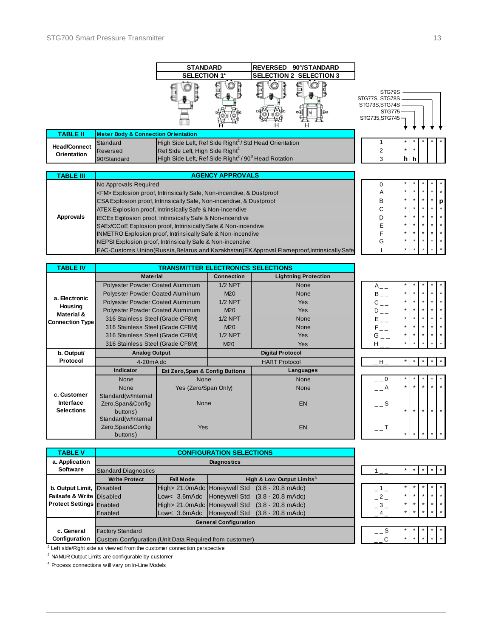|                     |                                                                               | <b>STANDARD</b>                                                             |                         | <b>REVERSED</b> | 90°/STANDARD                                                                              |                                                                                |         |     |  |  |
|---------------------|-------------------------------------------------------------------------------|-----------------------------------------------------------------------------|-------------------------|-----------------|-------------------------------------------------------------------------------------------|--------------------------------------------------------------------------------|---------|-----|--|--|
|                     |                                                                               | <b>SELECTION 14</b>                                                         |                         |                 | <b>SELECTION 2 SELECTION 3</b>                                                            |                                                                                |         |     |  |  |
|                     |                                                                               |                                                                             |                         |                 |                                                                                           | STG79S<br>STG77S, STG78S<br>STG73S, STG74S<br><b>STG775</b><br>STG735, STG745- |         |     |  |  |
| <b>TABLE II</b>     | <b>Meter Body &amp; Connection Orientation</b>                                |                                                                             |                         |                 |                                                                                           |                                                                                |         |     |  |  |
| <b>Head/Connect</b> | Standard                                                                      | High Side Left, Ref Side Right <sup>2</sup> / Std Head Orientation          |                         |                 |                                                                                           |                                                                                |         |     |  |  |
| Orientation         | Reversed                                                                      | Ref Side Left, High Side Right <sup>2</sup>                                 |                         |                 |                                                                                           | 2                                                                              | $\star$ |     |  |  |
|                     | 90/Standard                                                                   | High Side Left, Ref Side Right <sup>2</sup> / 90 <sup>0</sup> Head Rotation |                         |                 |                                                                                           | 3                                                                              |         | hlh |  |  |
|                     |                                                                               |                                                                             |                         |                 |                                                                                           |                                                                                |         |     |  |  |
|                     |                                                                               |                                                                             |                         |                 |                                                                                           |                                                                                |         |     |  |  |
| <b>TABLE III</b>    |                                                                               |                                                                             | <b>AGENCY APPROVALS</b> |                 |                                                                                           |                                                                                |         |     |  |  |
|                     | No Approvals Required                                                         |                                                                             |                         |                 |                                                                                           | 0                                                                              |         |     |  |  |
|                     | <fm> Explosion proof, Intrinsically Safe, Non-incendive, &amp; Dustproof</fm> |                                                                             |                         |                 |                                                                                           | Α                                                                              |         |     |  |  |
|                     | CSA Explosion proof, Intrinsically Safe, Non-incendive, & Dustproof           |                                                                             |                         |                 |                                                                                           | B                                                                              | $\star$ |     |  |  |
|                     | ATEX Explosion proof, Intrinsically Safe & Non-incendive                      |                                                                             |                         |                 |                                                                                           | C                                                                              | ÷       |     |  |  |
| Approvals           | IECEx Explosion proof, Intrinsically Safe & Non-incendive                     |                                                                             |                         |                 |                                                                                           | D                                                                              | $\star$ |     |  |  |
|                     | SAEx/CCoE Explosion proof, Intrinsically Safe & Non-incendive                 |                                                                             |                         |                 |                                                                                           | E                                                                              | ÷       |     |  |  |
|                     | <b>INMETRO Explosion proof, Intrinsically Safe &amp; Non-incendive</b>        |                                                                             |                         |                 |                                                                                           |                                                                                | $\star$ |     |  |  |
|                     | NEPSI Explosion proof, Intrinsically Safe & Non-incendive                     |                                                                             |                         |                 |                                                                                           | G                                                                              | $\star$ |     |  |  |
|                     |                                                                               |                                                                             |                         |                 | EAC-Customs Union(Russia,Belarus and Kazakhstan)EX Approval Flameproof,Intrinsically Safe |                                                                                | $\star$ |     |  |  |
| <b>TABLE IV</b>     |                                                                               |                                                                             |                         |                 |                                                                                           |                                                                                |         |     |  |  |

|                                  | <b>Material</b>                         |                                 | <b>Connection</b> | <b>Lightning Protection</b> |
|----------------------------------|-----------------------------------------|---------------------------------|-------------------|-----------------------------|
|                                  | Polyester Powder Coated Aluminum        |                                 | $1/2$ NPT         | None                        |
|                                  | <b>Polyester Powder Coated Aluminum</b> |                                 | M <sub>20</sub>   | None                        |
| a. Electronic                    | Polyester Powder Coated Aluminum        |                                 | $1/2$ NPT         | <b>Yes</b>                  |
| Housing<br><b>Material &amp;</b> | Polyester Powder Coated Aluminum        |                                 | M <sub>20</sub>   | <b>Yes</b>                  |
| <b>Connection Type</b>           | 316 Stainless Steel (Grade CF8M)        |                                 | $1/2$ NPT         | <b>None</b>                 |
|                                  | 316 Stainless Steel (Grade CF8M)        |                                 | M <sub>20</sub>   | <b>None</b>                 |
|                                  | 316 Stainless Steel (Grade CF8M)        |                                 | $1/2$ NPT         | <b>Yes</b>                  |
|                                  | 316 Stainless Steel (Grade CF8M)        |                                 | M <sub>20</sub>   | <b>Yes</b>                  |
| b. Output/                       | <b>Analog Output</b>                    |                                 |                   | <b>Digital Protocol</b>     |
| Protocol                         | $4-20mAdc$                              |                                 |                   | <b>HART Protocol</b>        |
|                                  | <b>Indicator</b>                        | Ext Zero, Span & Config Buttons |                   | Languages                   |
|                                  | None                                    | None                            |                   | None                        |
|                                  | None                                    | Yes (Zero/Span Only)            |                   | None                        |
| c. Customer                      | Standard(w/Internal                     |                                 |                   |                             |
| Interface                        | Zero, Span&Config                       | <b>None</b>                     |                   | <b>EN</b>                   |
| <b>Selections</b>                | buttons)                                |                                 |                   |                             |
|                                  | Standard(w/Internal                     |                                 |                   |                             |
|                                  | Zero, Span&Config                       | <b>Yes</b>                      |                   | <b>EN</b>                   |
|                                  | buttons)                                |                                 |                   |                             |

| <b>TABLE V</b>                  |                                                         |                  | <b>CONFIGURATION SELECTIONS</b> |                                                        |      |         |         |         |                 |
|---------------------------------|---------------------------------------------------------|------------------|---------------------------------|--------------------------------------------------------|------|---------|---------|---------|-----------------|
| a. Application                  |                                                         |                  | <b>Diagnostics</b>              |                                                        |      |         |         |         |                 |
| <b>Software</b>                 | <b>Standard Diagnostics</b>                             |                  |                                 |                                                        |      | $\star$ |         |         |                 |
|                                 | <b>Write Protect</b>                                    | <b>Fail Mode</b> |                                 | High & Low Output Limits <sup>3</sup>                  |      |         |         |         |                 |
| b. Output Limit, Disabled       |                                                         |                  |                                 | High> 21.0mAdc Honeywell Std (3.8 - 20.8 mAdc)         |      | $\star$ |         |         | $*$ $*$         |
| Failsafe & Write Disabled       |                                                         |                  |                                 | Low< 3.6mAdc Honeywell Std (3.8 - 20.8 mAdc)           |      | $\star$ |         | $\star$ | $*$ $*$         |
| <b>Protect Settings Enabled</b> |                                                         |                  |                                 | High> 21.0mAdc Honeywell Std (3.8 - 20.8 mAdc)         | $-3$ | $\star$ | $\star$ | $\star$ | $*$ $*$         |
|                                 | Enabled                                                 |                  |                                 | Low< $3.6$ m Adc   Honeywell Std $(3.8 - 20.8)$ m Adc) |      | $\star$ |         | $\star$ | $\star$ $\star$ |
|                                 |                                                         |                  | <b>General Configuration</b>    |                                                        |      |         |         |         |                 |
| c. General                      | <b>Factory Standard</b>                                 |                  |                                 |                                                        | $ S$ |         |         |         | $\star$         |
| Configuration                   | Custom Configuration (Unit Data Required from customer) |                  |                                 |                                                        |      | $\star$ |         |         |                 |

 $2$  Left side/Right side as view ed from the customer connection perspective

**Solution Symbolic Configurable by customer** <sup>3</sup><br><sup>3</sup> NAMUR Output Limits are configurable by customer

4 Process connections w ill vary on In-Line Models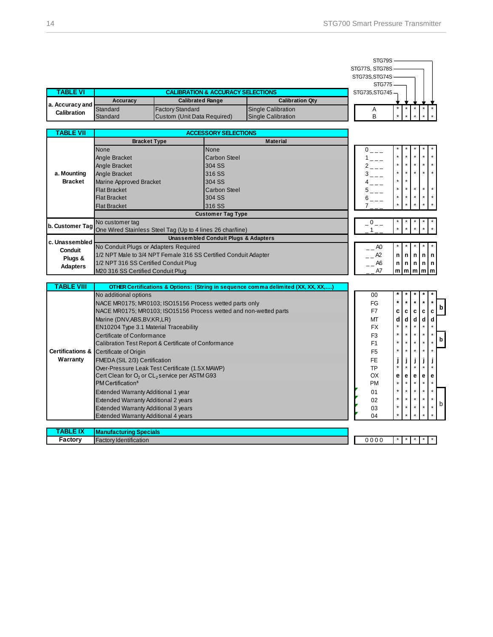|                                       |                                                                       |                             |                                                 |                                                                                   | STG79S                                             |                                       |                   |   |
|---------------------------------------|-----------------------------------------------------------------------|-----------------------------|-------------------------------------------------|-----------------------------------------------------------------------------------|----------------------------------------------------|---------------------------------------|-------------------|---|
|                                       |                                                                       |                             |                                                 |                                                                                   | STG77S, STG78S<br>STG73S, STG74S                   |                                       |                   |   |
|                                       |                                                                       |                             |                                                 |                                                                                   | <b>STG775</b>                                      |                                       |                   |   |
| <b>TABLE VI</b>                       |                                                                       |                             | <b>CALIBRATION &amp; ACCURACY SELECTIONS</b>    |                                                                                   | STG735, STG745-                                    |                                       |                   |   |
|                                       | <b>Accuracy</b>                                                       |                             | <b>Calibrated Range</b>                         | <b>Calibration Qty</b>                                                            |                                                    |                                       |                   |   |
| a. Accuracy and<br><b>Calibration</b> | <b>Standard</b>                                                       | <b>Factory Standard</b>     |                                                 | <b>Single Calibration</b>                                                         | Α                                                  |                                       |                   |   |
|                                       | Standard                                                              | Custom (Unit Data Required) |                                                 | <b>Single Calibration</b>                                                         | B                                                  |                                       |                   |   |
| TABLE VII                             |                                                                       |                             | <b>ACCESSORY SELECTIONS</b>                     |                                                                                   |                                                    |                                       |                   |   |
|                                       | <b>Bracket Type</b>                                                   |                             |                                                 | <b>Material</b>                                                                   |                                                    |                                       |                   |   |
|                                       | None                                                                  |                             | None                                            |                                                                                   | $0\hspace{0.05cm}\underline{\ \ }\hspace{0.1cm} }$ |                                       |                   |   |
|                                       | Angle Bracket                                                         |                             | Carbon Steel                                    |                                                                                   | $1 - -$                                            |                                       |                   |   |
|                                       | Angle Bracket                                                         |                             | 304 SS                                          |                                                                                   | $2 - - -$                                          | $\star$<br>$\star$<br>$\star$         |                   |   |
| a. Mounting                           | Angle Bracket                                                         |                             | 316 SS                                          |                                                                                   | $3 - - -$                                          | $\star$<br>$\star$<br>$\star$         | $\star$           |   |
| <b>Bracket</b>                        | Marine Approved Bracket                                               |                             | 304 SS                                          |                                                                                   | $4 - - -$                                          | $\star$<br>$\star$                    |                   |   |
|                                       | <b>Flat Bracket</b>                                                   |                             | <b>Carbon Steel</b>                             |                                                                                   | $5 - - -$                                          | $\star$<br>$\star$<br>$\star$         | $\star$           |   |
|                                       | <b>Flat Bracket</b>                                                   |                             | 304 SS                                          |                                                                                   | $6 - - -$                                          | $\star$<br>$\star$<br>$\star$         |                   |   |
|                                       | <b>Flat Bracket</b>                                                   |                             | 316 SS                                          |                                                                                   |                                                    |                                       |                   |   |
|                                       |                                                                       |                             | <b>Customer Tag Type</b>                        |                                                                                   |                                                    |                                       |                   |   |
| b. Customer Tag                       | No customer tag                                                       |                             |                                                 |                                                                                   | $-0$ $-$                                           |                                       |                   |   |
|                                       | One Wired Stainless Steel Tag (Up to 4 lines 26 char/line)            |                             |                                                 |                                                                                   | 1                                                  |                                       |                   |   |
| c. Unassembled                        |                                                                       |                             | <b>Unassembled Conduit Plugs &amp; Adapters</b> |                                                                                   |                                                    |                                       |                   |   |
| <b>Conduit</b>                        | No Conduit Plugs or Adapters Required                                 |                             |                                                 |                                                                                   | $-$ AO                                             |                                       |                   |   |
| Plugs &                               | 1/2 NPT Male to 3/4 NPT Female 316 SS Certified Conduit Adapter       |                             |                                                 |                                                                                   | $- -$ A2                                           | n<br>n<br>n                           | $\mathsf{n}$<br>n |   |
| <b>Adapters</b>                       | 1/2 NPT 316 SS Certified Conduit Plug                                 |                             |                                                 |                                                                                   | $ -$ A6                                            | n<br>n                                | n n n             |   |
|                                       | M20 316 SS Certified Conduit Plug                                     |                             |                                                 |                                                                                   | A7                                                 | m m m m m                             |                   |   |
| <b>TABLE VIII</b>                     |                                                                       |                             |                                                 | OTHER Certifications & Options: (String in sequence comma delimited (XX, XX, XX,) |                                                    |                                       |                   |   |
|                                       | No additional options                                                 |                             |                                                 |                                                                                   | 00                                                 |                                       |                   |   |
|                                       | NACE MR0175; MR0103; ISO15156 Process wetted parts only               |                             |                                                 |                                                                                   | FG                                                 | $\star$<br>$\star$<br>$\star$         |                   |   |
|                                       | NACE MR0175; MR0103; ISO15156 Process wetted and non-wetted parts     |                             |                                                 |                                                                                   | F7                                                 | c<br>C<br>c                           | c<br>C            | b |
|                                       | Marine (DNV, ABS, BV, KR, LR)                                         |                             |                                                 |                                                                                   | МT                                                 | d<br>$\operatorname{\mathsf{d}}$<br>d | d<br>d            |   |
|                                       | EN10204 Type 3.1 Material Traceability                                |                             |                                                 |                                                                                   | <b>FX</b>                                          | $\star$<br>$\star$<br>$\star$         | $\star$           |   |
|                                       | Certificate of Conformance                                            |                             |                                                 |                                                                                   | F <sub>3</sub>                                     | $\star$<br>$\star$<br>$\star$         | $\star$           |   |
|                                       | Calibration Test Report & Certificate of Conformance                  |                             |                                                 |                                                                                   | F <sub>1</sub>                                     | $\star$<br>$\star$<br>$\star$         | $\star$           | b |
|                                       | Certifications & Certificate of Origin                                |                             |                                                 |                                                                                   | F <sub>5</sub>                                     | $\star$<br>$\star$<br>$\star$         | $\star$           |   |
| Warranty                              | FMEDA (SIL 2/3) Certification                                         |                             |                                                 |                                                                                   | FE.                                                | j<br>j<br>j                           | j<br>j            |   |
|                                       | Over-Pressure Leak Test Certificate (1.5X MAWP)                       |                             |                                                 |                                                                                   | TP                                                 | $\star$<br>$\star$<br>$\star$         | $\star$           |   |
|                                       | Cert Clean for O <sub>2</sub> or CL <sub>2</sub> service per ASTM G93 |                             |                                                 |                                                                                   | OX                                                 | е<br>e<br>е                           | e<br>е            |   |
|                                       | PM Certification <sup>5</sup>                                         |                             |                                                 |                                                                                   | <b>PM</b>                                          | $\star$<br>$\star$<br>$\star$         |                   |   |
|                                       | Extended Warranty Additional 1 year                                   |                             |                                                 |                                                                                   | 01                                                 | $\star$<br>$\star$<br>$\star$         | *<br>$\star$      |   |
|                                       | Extended Warranty Additional 2 years                                  |                             |                                                 |                                                                                   | 02                                                 | $\star$<br>$\star$                    |                   | b |
|                                       | Extended Warranty Additional 3 years                                  |                             |                                                 |                                                                                   | 03                                                 | $\star$<br>$\star$<br>$\star$         | $\star$           |   |
|                                       | Extended Warranty Additional 4 years                                  |                             |                                                 |                                                                                   | 04                                                 | $\star$<br>٠                          |                   |   |
| TABLE IX                              |                                                                       |                             |                                                 |                                                                                   |                                                    |                                       |                   |   |
| Factory                               | <b>Manufacturing Specials</b><br><b>Factory Identification</b>        |                             |                                                 |                                                                                   | 0000                                               | $\pmb{\ast}$                          |                   |   |
|                                       |                                                                       |                             |                                                 |                                                                                   |                                                    |                                       |                   |   |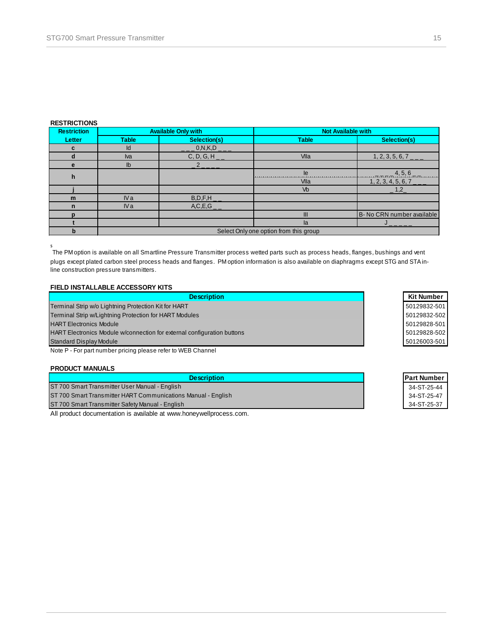#### **RESTRICTIONS**

| <b>Restriction</b> |                 | <b>Available Only with</b> | <b>Not Available with</b>              |                                      |  |  |
|--------------------|-----------------|----------------------------|----------------------------------------|--------------------------------------|--|--|
| Letter             | <b>Table</b>    | Selection(s)               | <b>Table</b>                           | Selection(s)                         |  |  |
| c                  | Id              | $\_$ _ 0,N,K,D $\_$ $\_$   |                                        |                                      |  |  |
|                    | <b>Iva</b>      | $C, D, G, H$ <sub>-</sub>  | Vlla                                   | $1, 2, 3, 5, 6, 7$ _                 |  |  |
| e                  | $\mathsf{lb}$   |                            |                                        |                                      |  |  |
| h                  |                 |                            | le                                     | 4, 5, 6                              |  |  |
|                    |                 |                            | Vlla                                   | $1, 2, 3, 4, 5, 6, 7$ <sub>---</sub> |  |  |
|                    |                 |                            | Vb                                     | $-1,2$                               |  |  |
| m                  | IV <sub>a</sub> | $B, D, F, H$ <sub>_</sub>  |                                        |                                      |  |  |
| $\mathbf n$        | IV <sub>a</sub> | $A, C, E, G$ <sub>_</sub>  |                                        |                                      |  |  |
| n                  |                 |                            | Ш                                      | B- No CRN number available           |  |  |
|                    |                 |                            | la.                                    |                                      |  |  |
| b                  |                 |                            | Select Only one option from this group |                                      |  |  |

s<br> The PM option is available on all Smartline Pressure Transmitter process wetted parts such as process heads, flanges, bushings and vent plugs except plated carbon steel process heads and flanges. PM option information is also available on diaphragms except STG and STA inline construction pressure transmitters.

# **FIELD INSTALLABLE ACCESSORY KITS**

| <b>Description</b>                                                      | Kit Number  |
|-------------------------------------------------------------------------|-------------|
| Terminal Strip w/o Lightning Protection Kit for HART                    | 50129832-50 |
| Terminal Strip w/Lightning Protection for HART Modules                  | 50129832-50 |
| <b>HART Electronics Module</b>                                          | 50129828-50 |
| HART Electronics Module w/connection for external configuration buttons | 50129828-50 |
| <b>Standard Display Module</b>                                          | 50126003-50 |

Note P - For part number pricing please refer to WEB Channel

### **PRODUCT MANUALS**

| <b>Description</b>                                            | <b>IPart Numbe</b> |
|---------------------------------------------------------------|--------------------|
| ST 700 Smart Transmitter User Manual - English                | 34-ST-25-44        |
| ST 700 Smart Transmitter HART Communications Manual - English | 34-ST-25-47        |
| ST 700 Smart Transmitter Safety Manual - English              | 34-ST-25-37        |

All product documentation is available at www.honeywellprocess.com.

| Kit Number   |
|--------------|
| 50129832-501 |
| 50129832-502 |
| 50129828-501 |
| 50129828-502 |
| 50126003-501 |

| Part Number |
|-------------|
| 34-ST-25-44 |
| 34-ST-25-47 |
| 34-ST-25-37 |